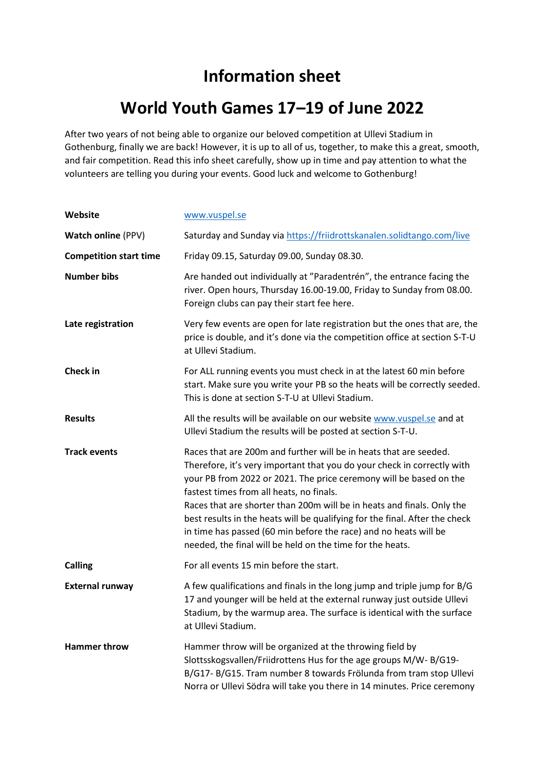## **Information sheet**

# **World Youth Games 17–19 of June 2022**

After two years of not being able to organize our beloved competition at Ullevi Stadium in Gothenburg, finally we are back! However, it is up to all of us, together, to make this a great, smooth, and fair competition. Read this info sheet carefully, show up in time and pay attention to what the volunteers are telling you during your events. Good luck and welcome to Gothenburg!

| Website                       | www.vuspel.se                                                                                                                                                                                                                                                                                                                                                                                                                                                                                                                                            |
|-------------------------------|----------------------------------------------------------------------------------------------------------------------------------------------------------------------------------------------------------------------------------------------------------------------------------------------------------------------------------------------------------------------------------------------------------------------------------------------------------------------------------------------------------------------------------------------------------|
| <b>Watch online (PPV)</b>     | Saturday and Sunday via https://friidrottskanalen.solidtango.com/live                                                                                                                                                                                                                                                                                                                                                                                                                                                                                    |
| <b>Competition start time</b> | Friday 09.15, Saturday 09.00, Sunday 08.30.                                                                                                                                                                                                                                                                                                                                                                                                                                                                                                              |
| <b>Number bibs</b>            | Are handed out individually at "Paradentrén", the entrance facing the<br>river. Open hours, Thursday 16.00-19.00, Friday to Sunday from 08.00.<br>Foreign clubs can pay their start fee here.                                                                                                                                                                                                                                                                                                                                                            |
| Late registration             | Very few events are open for late registration but the ones that are, the<br>price is double, and it's done via the competition office at section S-T-U<br>at Ullevi Stadium.                                                                                                                                                                                                                                                                                                                                                                            |
| Check in                      | For ALL running events you must check in at the latest 60 min before<br>start. Make sure you write your PB so the heats will be correctly seeded.<br>This is done at section S-T-U at Ullevi Stadium.                                                                                                                                                                                                                                                                                                                                                    |
| <b>Results</b>                | All the results will be available on our website www.vuspel.se and at<br>Ullevi Stadium the results will be posted at section S-T-U.                                                                                                                                                                                                                                                                                                                                                                                                                     |
| <b>Track events</b>           | Races that are 200m and further will be in heats that are seeded.<br>Therefore, it's very important that you do your check in correctly with<br>your PB from 2022 or 2021. The price ceremony will be based on the<br>fastest times from all heats, no finals.<br>Races that are shorter than 200m will be in heats and finals. Only the<br>best results in the heats will be qualifying for the final. After the check<br>in time has passed (60 min before the race) and no heats will be<br>needed, the final will be held on the time for the heats. |
| <b>Calling</b>                | For all events 15 min before the start.                                                                                                                                                                                                                                                                                                                                                                                                                                                                                                                  |
| <b>External runway</b>        | A few qualifications and finals in the long jump and triple jump for B/G<br>17 and younger will be held at the external runway just outside Ullevi<br>Stadium, by the warmup area. The surface is identical with the surface<br>at Ullevi Stadium.                                                                                                                                                                                                                                                                                                       |
| <b>Hammer throw</b>           | Hammer throw will be organized at the throwing field by<br>Slottsskogsvallen/Friidrottens Hus for the age groups M/W-B/G19-<br>B/G17- B/G15. Tram number 8 towards Frölunda from tram stop Ullevi<br>Norra or Ullevi Södra will take you there in 14 minutes. Price ceremony                                                                                                                                                                                                                                                                             |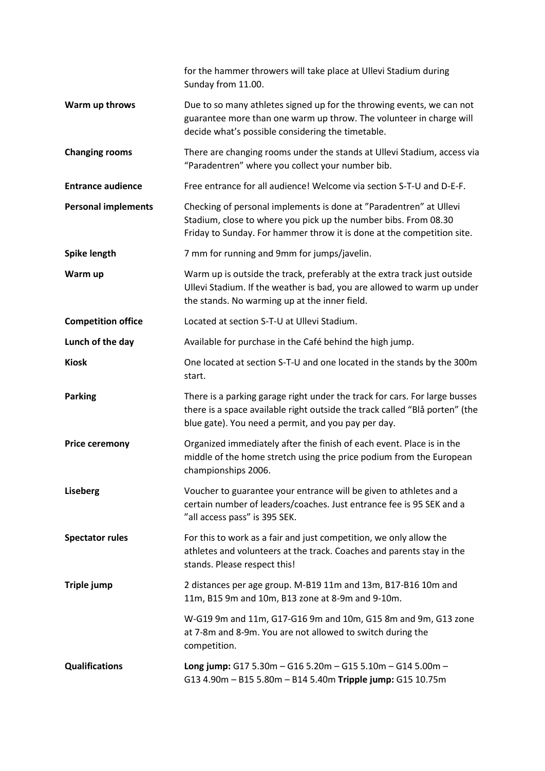|                            | for the hammer throwers will take place at Ullevi Stadium during<br>Sunday from 11.00.                                                                                                                           |
|----------------------------|------------------------------------------------------------------------------------------------------------------------------------------------------------------------------------------------------------------|
| Warm up throws             | Due to so many athletes signed up for the throwing events, we can not<br>guarantee more than one warm up throw. The volunteer in charge will<br>decide what's possible considering the timetable.                |
| <b>Changing rooms</b>      | There are changing rooms under the stands at Ullevi Stadium, access via<br>"Paradentren" where you collect your number bib.                                                                                      |
| <b>Entrance audience</b>   | Free entrance for all audience! Welcome via section S-T-U and D-E-F.                                                                                                                                             |
| <b>Personal implements</b> | Checking of personal implements is done at "Paradentren" at Ullevi<br>Stadium, close to where you pick up the number bibs. From 08.30<br>Friday to Sunday. For hammer throw it is done at the competition site.  |
| <b>Spike length</b>        | 7 mm for running and 9mm for jumps/javelin.                                                                                                                                                                      |
| Warm up                    | Warm up is outside the track, preferably at the extra track just outside<br>Ullevi Stadium. If the weather is bad, you are allowed to warm up under<br>the stands. No warming up at the inner field.             |
| <b>Competition office</b>  | Located at section S-T-U at Ullevi Stadium.                                                                                                                                                                      |
| Lunch of the day           | Available for purchase in the Café behind the high jump.                                                                                                                                                         |
| <b>Kiosk</b>               | One located at section S-T-U and one located in the stands by the 300m<br>start.                                                                                                                                 |
| <b>Parking</b>             | There is a parking garage right under the track for cars. For large busses<br>there is a space available right outside the track called "Blå porten" (the<br>blue gate). You need a permit, and you pay per day. |
| <b>Price ceremony</b>      | Organized immediately after the finish of each event. Place is in the<br>middle of the home stretch using the price podium from the European<br>championships 2006.                                              |
| <b>Liseberg</b>            | Voucher to guarantee your entrance will be given to athletes and a<br>certain number of leaders/coaches. Just entrance fee is 95 SEK and a<br>"all access pass" is 395 SEK.                                      |
| <b>Spectator rules</b>     | For this to work as a fair and just competition, we only allow the<br>athletes and volunteers at the track. Coaches and parents stay in the<br>stands. Please respect this!                                      |
| Triple jump                | 2 distances per age group. M-B19 11m and 13m, B17-B16 10m and<br>11m, B15 9m and 10m, B13 zone at 8-9m and 9-10m.                                                                                                |
|                            | W-G19 9m and 11m, G17-G16 9m and 10m, G15 8m and 9m, G13 zone<br>at 7-8m and 8-9m. You are not allowed to switch during the<br>competition.                                                                      |
| <b>Qualifications</b>      | Long jump: $G175.30m - G165.20m - G155.10m - G145.00m -$<br>G13 4.90m - B15 5.80m - B14 5.40m Tripple jump: G15 10.75m                                                                                           |